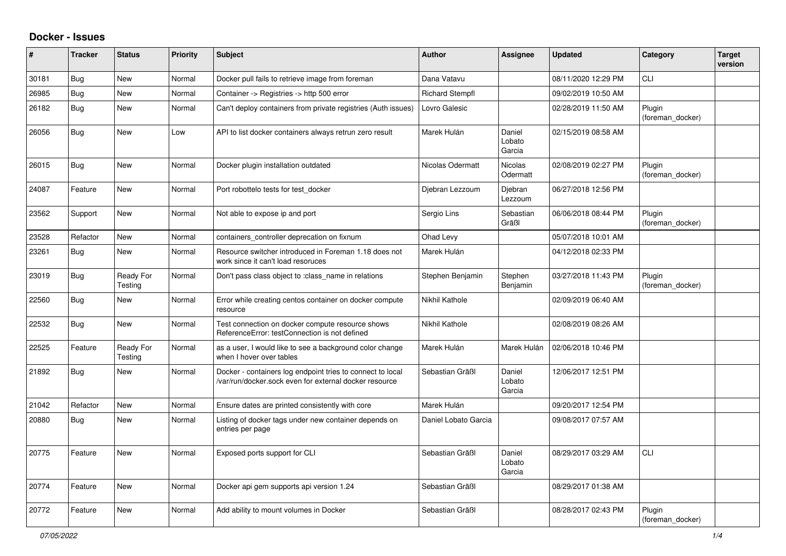## **Docker - Issues**

| #     | <b>Tracker</b> | <b>Status</b>        | <b>Priority</b> | <b>Subject</b>                                                                                                      | Author                 | Assignee                   | <b>Updated</b>      | Category                   | <b>Target</b><br>version |
|-------|----------------|----------------------|-----------------|---------------------------------------------------------------------------------------------------------------------|------------------------|----------------------------|---------------------|----------------------------|--------------------------|
| 30181 | Bug            | New                  | Normal          | Docker pull fails to retrieve image from foreman                                                                    | Dana Vatavu            |                            | 08/11/2020 12:29 PM | <b>CLI</b>                 |                          |
| 26985 | Bug            | <b>New</b>           | Normal          | Container -> Registries -> http 500 error                                                                           | <b>Richard Stempfl</b> |                            | 09/02/2019 10:50 AM |                            |                          |
| 26182 | <b>Bug</b>     | New                  | Normal          | Can't deploy containers from private registries (Auth issues)                                                       | Lovro Galesic          |                            | 02/28/2019 11:50 AM | Plugin<br>(foreman_docker) |                          |
| 26056 | <b>Bug</b>     | <b>New</b>           | Low             | API to list docker containers always retrun zero result                                                             | Marek Hulán            | Daniel<br>Lobato<br>Garcia | 02/15/2019 08:58 AM |                            |                          |
| 26015 | <b>Bug</b>     | <b>New</b>           | Normal          | Docker plugin installation outdated                                                                                 | Nicolas Odermatt       | Nicolas<br>Odermatt        | 02/08/2019 02:27 PM | Plugin<br>(foreman docker) |                          |
| 24087 | Feature        | New                  | Normal          | Port robottelo tests for test docker                                                                                | Djebran Lezzoum        | Djebran<br>Lezzoum         | 06/27/2018 12:56 PM |                            |                          |
| 23562 | Support        | New                  | Normal          | Not able to expose ip and port                                                                                      | Sergio Lins            | Sebastian<br>Gräßl         | 06/06/2018 08:44 PM | Plugin<br>(foreman docker) |                          |
| 23528 | Refactor       | <b>New</b>           | Normal          | containers_controller deprecation on fixnum                                                                         | Ohad Levy              |                            | 05/07/2018 10:01 AM |                            |                          |
| 23261 | <b>Bug</b>     | New                  | Normal          | Resource switcher introduced in Foreman 1.18 does not<br>work since it can't load resoruces                         | Marek Hulán            |                            | 04/12/2018 02:33 PM |                            |                          |
| 23019 | <b>Bug</b>     | Ready For<br>Testing | Normal          | Don't pass class object to :class_name in relations                                                                 | Stephen Benjamin       | Stephen<br>Benjamin        | 03/27/2018 11:43 PM | Plugin<br>(foreman docker) |                          |
| 22560 | Bug            | New                  | Normal          | Error while creating centos container on docker compute<br>resource                                                 | Nikhil Kathole         |                            | 02/09/2019 06:40 AM |                            |                          |
| 22532 | Bug            | New                  | Normal          | Test connection on docker compute resource shows<br>ReferenceError: testConnection is not defined                   | Nikhil Kathole         |                            | 02/08/2019 08:26 AM |                            |                          |
| 22525 | Feature        | Ready For<br>Testing | Normal          | as a user, I would like to see a background color change<br>when I hover over tables                                | Marek Hulán            | Marek Hulán                | 02/06/2018 10:46 PM |                            |                          |
| 21892 | <b>Bug</b>     | New                  | Normal          | Docker - containers log endpoint tries to connect to local<br>var/run/docker.sock even for external docker resource | Sebastian Gräßl        | Daniel<br>Lobato<br>Garcia | 12/06/2017 12:51 PM |                            |                          |
| 21042 | Refactor       | <b>New</b>           | Normal          | Ensure dates are printed consistently with core                                                                     | Marek Hulán            |                            | 09/20/2017 12:54 PM |                            |                          |
| 20880 | <b>Bug</b>     | <b>New</b>           | Normal          | Listing of docker tags under new container depends on<br>entries per page                                           | Daniel Lobato Garcia   |                            | 09/08/2017 07:57 AM |                            |                          |
| 20775 | Feature        | <b>New</b>           | Normal          | Exposed ports support for CLI                                                                                       | Sebastian Gräßl        | Daniel<br>Lobato<br>Garcia | 08/29/2017 03:29 AM | <b>CLI</b>                 |                          |
| 20774 | Feature        | <b>New</b>           | Normal          | Docker api gem supports api version 1.24                                                                            | Sebastian Gräßl        |                            | 08/29/2017 01:38 AM |                            |                          |
| 20772 | Feature        | New                  | Normal          | Add ability to mount volumes in Docker                                                                              | Sebastian Gräßl        |                            | 08/28/2017 02:43 PM | Plugin<br>(foreman docker) |                          |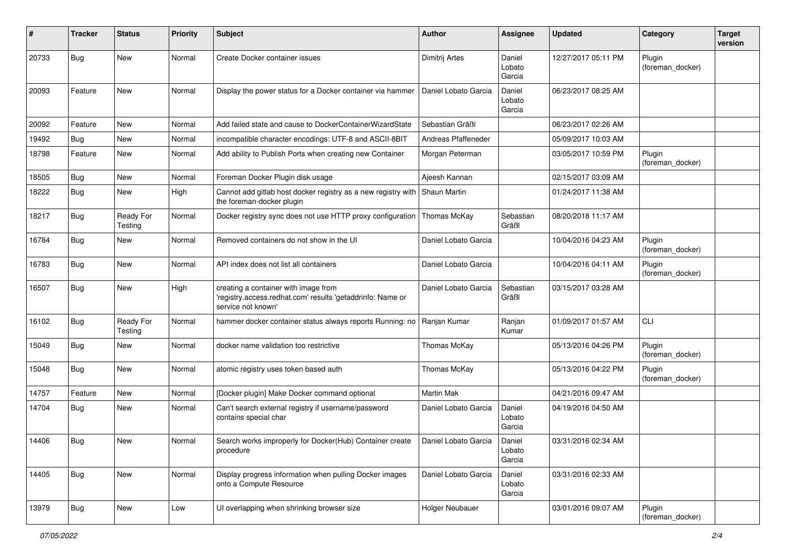| #     | <b>Tracker</b> | <b>Status</b>        | <b>Priority</b> | <b>Subject</b>                                                                                                           | <b>Author</b>        | Assignee                   | <b>Updated</b>      | Category                   | <b>Target</b><br>version |
|-------|----------------|----------------------|-----------------|--------------------------------------------------------------------------------------------------------------------------|----------------------|----------------------------|---------------------|----------------------------|--------------------------|
| 20733 | Bug            | New                  | Normal          | Create Docker container issues                                                                                           | Dimitrij Artes       | Daniel<br>Lobato<br>Garcia | 12/27/2017 05:11 PM | Plugin<br>(foreman_docker) |                          |
| 20093 | Feature        | New                  | Normal          | Display the power status for a Docker container via hammer                                                               | Daniel Lobato Garcia | Daniel<br>Lobato<br>Garcia | 06/23/2017 08:25 AM |                            |                          |
| 20092 | Feature        | <b>New</b>           | Normal          | Add failed state and cause to DockerContainerWizardState                                                                 | Sebastian Gräßl      |                            | 06/23/2017 02:26 AM |                            |                          |
| 19492 | Bug            | New                  | Normal          | incompatible character encodings: UTF-8 and ASCII-8BIT                                                                   | Andreas Pfaffeneder  |                            | 05/09/2017 10:03 AM |                            |                          |
| 18798 | Feature        | New                  | Normal          | Add ability to Publish Ports when creating new Container                                                                 | Morgan Peterman      |                            | 03/05/2017 10:59 PM | Plugin<br>(foreman docker) |                          |
| 18505 | Bug            | <b>New</b>           | Normal          | Foreman Docker Plugin disk usage                                                                                         | Ajeesh Kannan        |                            | 02/15/2017 03:09 AM |                            |                          |
| 18222 | <b>Bug</b>     | New                  | High            | Cannot add gitlab host docker registry as a new registry with<br>the foreman-docker plugin                               | <b>Shaun Martin</b>  |                            | 01/24/2017 11:38 AM |                            |                          |
| 18217 | <b>Bug</b>     | Ready For<br>Testing | Normal          | Docker registry sync does not use HTTP proxy configuration                                                               | Thomas McKay         | Sebastian<br>Gräßl         | 08/20/2018 11:17 AM |                            |                          |
| 16784 | Bug            | <b>New</b>           | Normal          | Removed containers do not show in the UI                                                                                 | Daniel Lobato Garcia |                            | 10/04/2016 04:23 AM | Plugin<br>(foreman_docker) |                          |
| 16783 | Bug            | <b>New</b>           | Normal          | API index does not list all containers                                                                                   | Daniel Lobato Garcia |                            | 10/04/2016 04:11 AM | Plugin<br>(foreman docker) |                          |
| 16507 | Bug            | <b>New</b>           | High            | creating a container with image from<br>'registry.access.redhat.com' results 'getaddrinfo: Name or<br>service not known' | Daniel Lobato Garcia | Sebastian<br>Gräßl         | 03/15/2017 03:28 AM |                            |                          |
| 16102 | <b>Bug</b>     | Ready For<br>Testing | Normal          | hammer docker container status always reports Running: no                                                                | Ranjan Kumar         | Ranjan<br>Kumar            | 01/09/2017 01:57 AM | CLI                        |                          |
| 15049 | Bug            | New                  | Normal          | docker name validation too restrictive                                                                                   | Thomas McKay         |                            | 05/13/2016 04:26 PM | Plugin<br>(foreman_docker) |                          |
| 15048 | Bug            | New                  | Normal          | atomic registry uses token based auth                                                                                    | Thomas McKay         |                            | 05/13/2016 04:22 PM | Plugin<br>(foreman_docker) |                          |
| 14757 | Feature        | <b>New</b>           | Normal          | [Docker plugin] Make Docker command optional                                                                             | <b>Martin Mak</b>    |                            | 04/21/2016 09:47 AM |                            |                          |
| 14704 | Bug            | New                  | Normal          | Can't search external registry if username/password<br>contains special char                                             | Daniel Lobato Garcia | Daniel<br>Lobato<br>Garcia | 04/19/2016 04:50 AM |                            |                          |
| 14406 | Bug            | New                  | Normal          | Search works improperly for Docker(Hub) Container create<br>procedure                                                    | Daniel Lobato Garcia | Daniel<br>Lobato<br>Garcia | 03/31/2016 02:34 AM |                            |                          |
| 14405 | Bug            | New                  | Normal          | Display progress information when pulling Docker images<br>onto a Compute Resource                                       | Daniel Lobato Garcia | Daniel<br>Lobato<br>Garcia | 03/31/2016 02:33 AM |                            |                          |
| 13979 | Bug            | New                  | Low             | UI overlapping when shrinking browser size                                                                               | Holger Neubauer      |                            | 03/01/2016 09:07 AM | Plugin<br>(foreman_docker) |                          |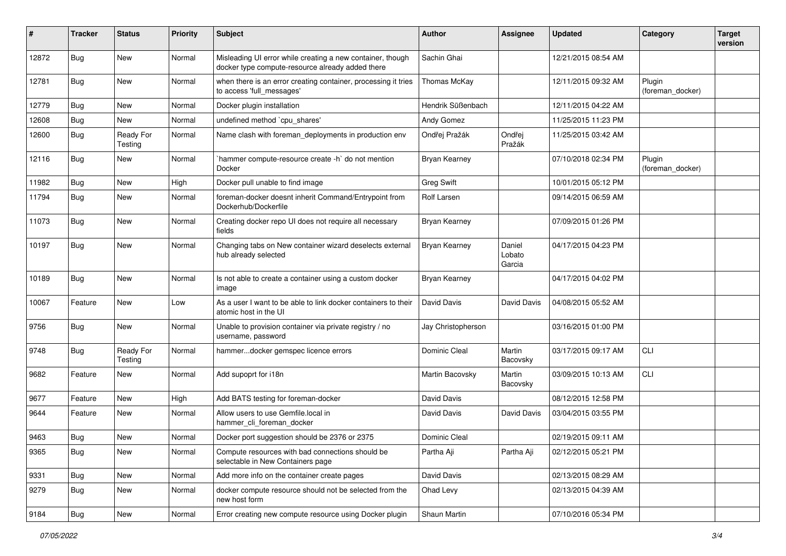| #     | <b>Tracker</b> | <b>Status</b>        | <b>Priority</b> | Subject                                                                                                        | Author             | Assignee                   | <b>Updated</b>      | Category                   | <b>Target</b><br>version |
|-------|----------------|----------------------|-----------------|----------------------------------------------------------------------------------------------------------------|--------------------|----------------------------|---------------------|----------------------------|--------------------------|
| 12872 | Bug            | <b>New</b>           | Normal          | Misleading UI error while creating a new container, though<br>docker type compute-resource already added there | Sachin Ghai        |                            | 12/21/2015 08:54 AM |                            |                          |
| 12781 | Bug            | New                  | Normal          | when there is an error creating container, processing it tries<br>to access 'full messages'                    | Thomas McKay       |                            | 12/11/2015 09:32 AM | Plugin<br>(foreman_docker) |                          |
| 12779 | Bug            | <b>New</b>           | Normal          | Docker plugin installation                                                                                     | Hendrik Süßenbach  |                            | 12/11/2015 04:22 AM |                            |                          |
| 12608 | Bug            | <b>New</b>           | Normal          | undefined method `cpu_shares'                                                                                  | Andy Gomez         |                            | 11/25/2015 11:23 PM |                            |                          |
| 12600 | Bug            | Ready For<br>Testing | Normal          | Name clash with foreman_deployments in production env                                                          | Ondřej Pražák      | Ondřej<br>Pražák           | 11/25/2015 03:42 AM |                            |                          |
| 12116 | <b>Bug</b>     | <b>New</b>           | Normal          | hammer compute-resource create -h` do not mention<br>Docker                                                    | Bryan Kearney      |                            | 07/10/2018 02:34 PM | Plugin<br>(foreman docker) |                          |
| 11982 | Bug            | <b>New</b>           | High            | Docker pull unable to find image                                                                               | <b>Greg Swift</b>  |                            | 10/01/2015 05:12 PM |                            |                          |
| 11794 | <b>Bug</b>     | <b>New</b>           | Normal          | foreman-docker doesnt inherit Command/Entrypoint from<br>Dockerhub/Dockerfile                                  | Rolf Larsen        |                            | 09/14/2015 06:59 AM |                            |                          |
| 11073 | Bug            | New                  | Normal          | Creating docker repo UI does not require all necessary<br>fields                                               | Bryan Kearney      |                            | 07/09/2015 01:26 PM |                            |                          |
| 10197 | <b>Bug</b>     | <b>New</b>           | Normal          | Changing tabs on New container wizard deselects external<br>hub already selected                               | Bryan Kearney      | Daniel<br>Lobato<br>Garcia | 04/17/2015 04:23 PM |                            |                          |
| 10189 | <b>Bug</b>     | <b>New</b>           | Normal          | Is not able to create a container using a custom docker<br>image                                               | Bryan Kearney      |                            | 04/17/2015 04:02 PM |                            |                          |
| 10067 | Feature        | New                  | Low             | As a user I want to be able to link docker containers to their<br>atomic host in the UI                        | David Davis        | David Davis                | 04/08/2015 05:52 AM |                            |                          |
| 9756  | <b>Bug</b>     | <b>New</b>           | Normal          | Unable to provision container via private registry / no<br>username, password                                  | Jay Christopherson |                            | 03/16/2015 01:00 PM |                            |                          |
| 9748  | <b>Bug</b>     | Ready For<br>Testing | Normal          | hammerdocker gemspec licence errors                                                                            | Dominic Cleal      | Martin<br>Bacovsky         | 03/17/2015 09:17 AM | CLI                        |                          |
| 9682  | Feature        | <b>New</b>           | Normal          | Add supoprt for i18n                                                                                           | Martin Bacovsky    | Martin<br>Bacovsky         | 03/09/2015 10:13 AM | CLI                        |                          |
| 9677  | Feature        | <b>New</b>           | High            | Add BATS testing for foreman-docker                                                                            | David Davis        |                            | 08/12/2015 12:58 PM |                            |                          |
| 9644  | Feature        | New                  | Normal          | Allow users to use Gemfile.local in<br>hammer_cli_foreman_docker                                               | David Davis        | David Davis                | 03/04/2015 03:55 PM |                            |                          |
| 9463  | <b>Bug</b>     | New                  | Normal          | Docker port suggestion should be 2376 or 2375                                                                  | Dominic Cleal      |                            | 02/19/2015 09:11 AM |                            |                          |
| 9365  | <b>Bug</b>     | New                  | Normal          | Compute resources with bad connections should be<br>selectable in New Containers page                          | Partha Aji         | Partha Aji                 | 02/12/2015 05:21 PM |                            |                          |
| 9331  | <b>Bug</b>     | New                  | Normal          | Add more info on the container create pages                                                                    | David Davis        |                            | 02/13/2015 08:29 AM |                            |                          |
| 9279  | <b>Bug</b>     | New                  | Normal          | docker compute resource should not be selected from the<br>new host form                                       | Ohad Levy          |                            | 02/13/2015 04:39 AM |                            |                          |
| 9184  | <b>Bug</b>     | New                  | Normal          | Error creating new compute resource using Docker plugin                                                        | Shaun Martin       |                            | 07/10/2016 05:34 PM |                            |                          |